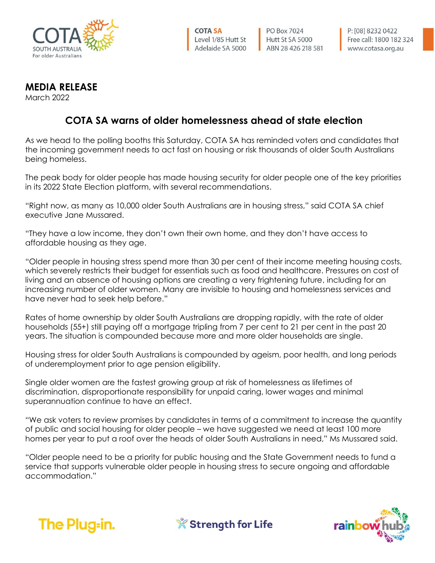

**PO Box 7024** Hutt St SA 5000 ABN 28 426 218 581

## **MEDIA RELEASE**

March 2022

## **COTA SA warns of older homelessness ahead of state election**

As we head to the polling booths this Saturday, COTA SA has reminded voters and candidates that the incoming government needs to act fast on housing or risk thousands of older South Australians being homeless.

The peak body for older people has made housing security for older people one of the key priorities in its 2022 State Election platform, with several recommendations.

"Right now, as many as 10,000 older South Australians are in housing stress," said COTA SA chief executive Jane Mussared.

"They have a low income, they don't own their own home, and they don't have access to affordable housing as they age.

"Older people in housing stress spend more than 30 per cent of their income meeting housing costs, which severely restricts their budget for essentials such as food and healthcare. Pressures on cost of living and an absence of housing options are creating a very frightening future, including for an increasing number of older women. Many are invisible to housing and homelessness services and have never had to seek help before."

Rates of home ownership by older South Australians are dropping rapidly, with the rate of older households (55+) still paying off a mortgage tripling from 7 per cent to 21 per cent in the past 20 years. The situation is compounded because more and more older households are single.

Housing stress for older South Australians is compounded by ageism, poor health, and long periods of underemployment prior to age pension eligibility.

Single older women are the fastest growing group at risk of homelessness as lifetimes of discrimination, disproportionate responsibility for unpaid caring, lower wages and minimal superannuation continue to have an effect.

"We ask voters to review promises by candidates in terms of a commitment to increase the quantity of public and social housing for older people – we have suggested we need at least 100 more homes per year to put a roof over the heads of older South Australians in need," Ms Mussared said.

"Older people need to be a priority for public housing and the State Government needs to fund a service that supports vulnerable older people in housing stress to secure ongoing and affordable accommodation."